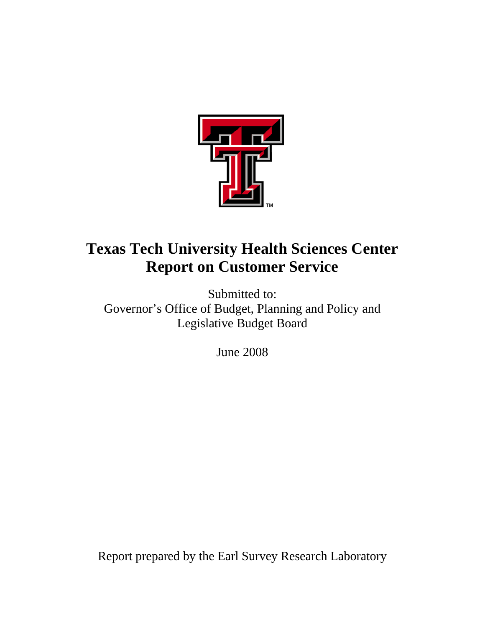

# **Texas Tech University Health Sciences Center Report on Customer Service**

Submitted to: Governor's Office of Budget, Planning and Policy and Legislative Budget Board

June 2008

Report prepared by the Earl Survey Research Laboratory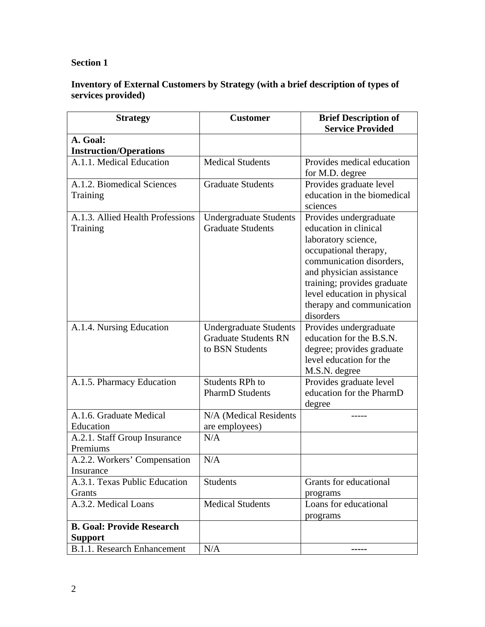# **Section 1**

# **Inventory of External Customers by Strategy (with a brief description of types of services provided)**

| <b>Strategy</b>                    | <b>Customer</b>               | <b>Brief Description of</b><br><b>Service Provided</b> |
|------------------------------------|-------------------------------|--------------------------------------------------------|
| A. Goal:                           |                               |                                                        |
| <b>Instruction/Operations</b>      |                               |                                                        |
| A.1.1. Medical Education           | <b>Medical Students</b>       | Provides medical education                             |
|                                    |                               | for M.D. degree                                        |
| A.1.2. Biomedical Sciences         | <b>Graduate Students</b>      | Provides graduate level                                |
| Training                           |                               | education in the biomedical                            |
|                                    |                               | sciences                                               |
| A.1.3. Allied Health Professions   | <b>Undergraduate Students</b> | Provides undergraduate                                 |
| Training                           | <b>Graduate Students</b>      | education in clinical                                  |
|                                    |                               | laboratory science,                                    |
|                                    |                               | occupational therapy,                                  |
|                                    |                               | communication disorders,                               |
|                                    |                               | and physician assistance                               |
|                                    |                               | training; provides graduate                            |
|                                    |                               | level education in physical                            |
|                                    |                               | therapy and communication                              |
|                                    |                               | disorders                                              |
| A.1.4. Nursing Education           | <b>Undergraduate Students</b> | Provides undergraduate                                 |
|                                    | <b>Graduate Students RN</b>   | education for the B.S.N.                               |
|                                    | to BSN Students               | degree; provides graduate                              |
|                                    |                               | level education for the                                |
|                                    |                               | M.S.N. degree                                          |
| A.1.5. Pharmacy Education          | <b>Students RPh to</b>        | Provides graduate level                                |
|                                    | <b>PharmD</b> Students        | education for the PharmD                               |
|                                    |                               | degree                                                 |
| A.1.6. Graduate Medical            | N/A (Medical Residents        |                                                        |
| Education                          | are employees)                |                                                        |
| A.2.1. Staff Group Insurance       | N/A                           |                                                        |
| Premiums                           |                               |                                                        |
| A.2.2. Workers' Compensation       | N/A                           |                                                        |
| Insurance                          |                               |                                                        |
| A.3.1. Texas Public Education      | <b>Students</b>               | Grants for educational                                 |
| Grants                             |                               | programs                                               |
| A.3.2. Medical Loans               | <b>Medical Students</b>       | Loans for educational                                  |
| <b>B. Goal: Provide Research</b>   |                               | programs                                               |
| <b>Support</b>                     |                               |                                                        |
| <b>B.1.1. Research Enhancement</b> | N/A                           |                                                        |
|                                    |                               |                                                        |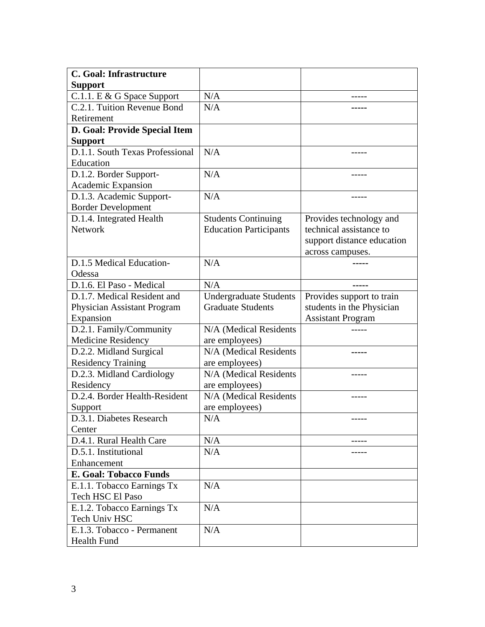| C. Goal: Infrastructure         |                               |                            |
|---------------------------------|-------------------------------|----------------------------|
| <b>Support</b>                  |                               |                            |
| C.1.1. E & G Space Support      | N/A                           |                            |
| C.2.1. Tuition Revenue Bond     | N/A                           |                            |
| Retirement                      |                               |                            |
| D. Goal: Provide Special Item   |                               |                            |
| <b>Support</b>                  |                               |                            |
| D.1.1. South Texas Professional | N/A                           |                            |
| Education                       |                               |                            |
| D.1.2. Border Support-          | N/A                           |                            |
| Academic Expansion              |                               |                            |
| D.1.3. Academic Support-        | N/A                           |                            |
| <b>Border Development</b>       |                               |                            |
| D.1.4. Integrated Health        | <b>Students Continuing</b>    | Provides technology and    |
| <b>Network</b>                  | <b>Education Participants</b> | technical assistance to    |
|                                 |                               | support distance education |
|                                 |                               | across campuses.           |
| D.1.5 Medical Education-        | N/A                           |                            |
| Odessa                          |                               |                            |
| D.1.6. El Paso - Medical        | N/A                           |                            |
| D.1.7. Medical Resident and     | <b>Undergraduate Students</b> | Provides support to train  |
| Physician Assistant Program     | <b>Graduate Students</b>      | students in the Physician  |
| Expansion                       |                               | <b>Assistant Program</b>   |
| D.2.1. Family/Community         | N/A (Medical Residents        |                            |
| <b>Medicine Residency</b>       | are employees)                |                            |
| D.2.2. Midland Surgical         | N/A (Medical Residents        |                            |
| <b>Residency Training</b>       | are employees)                |                            |
| D.2.3. Midland Cardiology       | N/A (Medical Residents        |                            |
| Residency                       | are employees)                |                            |
| D.2.4. Border Health-Resident   | N/A (Medical Residents        |                            |
| Support                         | are employees)                |                            |
| D.3.1. Diabetes Research        | N/A                           | -----                      |
| Center                          |                               |                            |
| D.4.1. Rural Health Care        | N/A                           |                            |
| D.5.1. Institutional            | N/A                           |                            |
| Enhancement                     |                               |                            |
| <b>E. Goal: Tobacco Funds</b>   |                               |                            |
| E.1.1. Tobacco Earnings Tx      | N/A                           |                            |
| Tech HSC El Paso                |                               |                            |
| E.1.2. Tobacco Earnings Tx      | N/A                           |                            |
| Tech Univ HSC                   |                               |                            |
| E.1.3. Tobacco - Permanent      | N/A                           |                            |
| <b>Health Fund</b>              |                               |                            |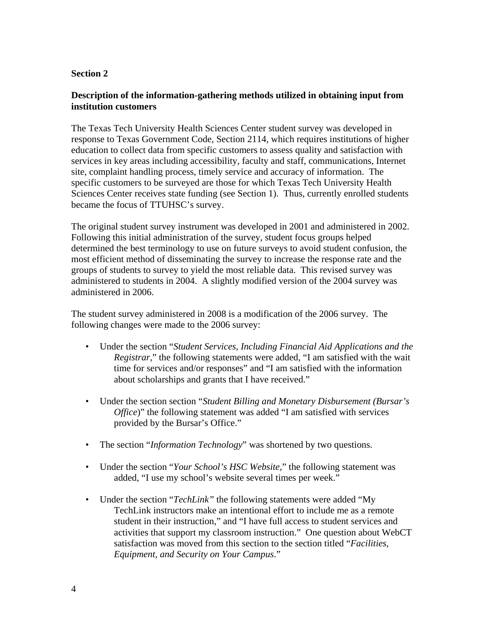# **Section 2**

# **Description of the information-gathering methods utilized in obtaining input from institution customers**

The Texas Tech University Health Sciences Center student survey was developed in response to Texas Government Code, Section 2114, which requires institutions of higher education to collect data from specific customers to assess quality and satisfaction with services in key areas including accessibility, faculty and staff, communications, Internet site, complaint handling process, timely service and accuracy of information. The specific customers to be surveyed are those for which Texas Tech University Health Sciences Center receives state funding (see Section 1). Thus, currently enrolled students became the focus of TTUHSC's survey.

The original student survey instrument was developed in 2001 and administered in 2002. Following this initial administration of the survey, student focus groups helped determined the best terminology to use on future surveys to avoid student confusion, the most efficient method of disseminating the survey to increase the response rate and the groups of students to survey to yield the most reliable data. This revised survey was administered to students in 2004. A slightly modified version of the 2004 survey was administered in 2006.

The student survey administered in 2008 is a modification of the 2006 survey. The following changes were made to the 2006 survey:

- Under the section "*Student Services, Including Financial Aid Applications and the Registrar,*" the following statements were added, "I am satisfied with the wait time for services and/or responses" and "I am satisfied with the information about scholarships and grants that I have received."
- Under the section section "*Student Billing and Monetary Disbursement (Bursar's Office*)" the following statement was added "I am satisfied with services provided by the Bursar's Office."
- The section "*Information Technology*" was shortened by two questions.
- Under the section "*Your School's HSC Website*," the following statement was added, "I use my school's website several times per week."
- Under the section "*TechLink*" the following statements were added "My TechLink instructors make an intentional effort to include me as a remote student in their instruction," and "I have full access to student services and activities that support my classroom instruction." One question about WebCT satisfaction was moved from this section to the section titled "*Facilities, Equipment, and Security on Your Campus*."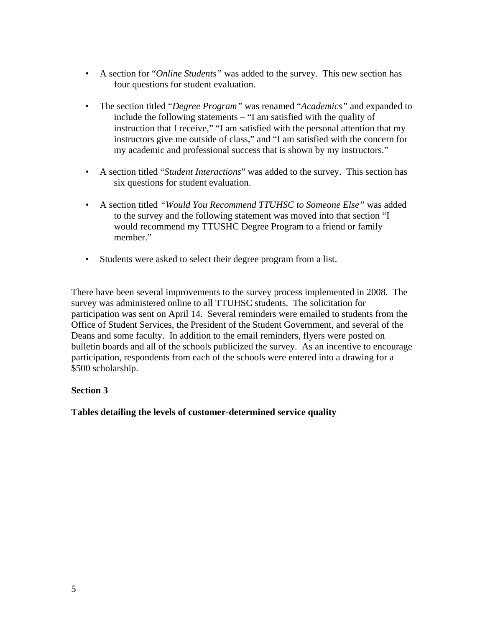- A section for "*Online Students"* was added to the survey. This new section has four questions for student evaluation.
- The section titled "*Degree Program"* was renamed "*Academics"* and expanded to include the following statements – "I am satisfied with the quality of instruction that I receive," "I am satisfied with the personal attention that my instructors give me outside of class," and "I am satisfied with the concern for my academic and professional success that is shown by my instructors."
- A section titled "*Student Interactions*" was added to the survey. This section has six questions for student evaluation.
- A section titled *"Would You Recommend TTUHSC to Someone Else"* was added to the survey and the following statement was moved into that section "I would recommend my TTUSHC Degree Program to a friend or family member."
- Students were asked to select their degree program from a list.

There have been several improvements to the survey process implemented in 2008. The survey was administered online to all TTUHSC students. The solicitation for participation was sent on April 14. Several reminders were emailed to students from the Office of Student Services, the President of the Student Government, and several of the Deans and some faculty. In addition to the email reminders, flyers were posted on bulletin boards and all of the schools publicized the survey. As an incentive to encourage participation, respondents from each of the schools were entered into a drawing for a \$500 scholarship.

## **Section 3**

**Tables detailing the levels of customer-determined service quality**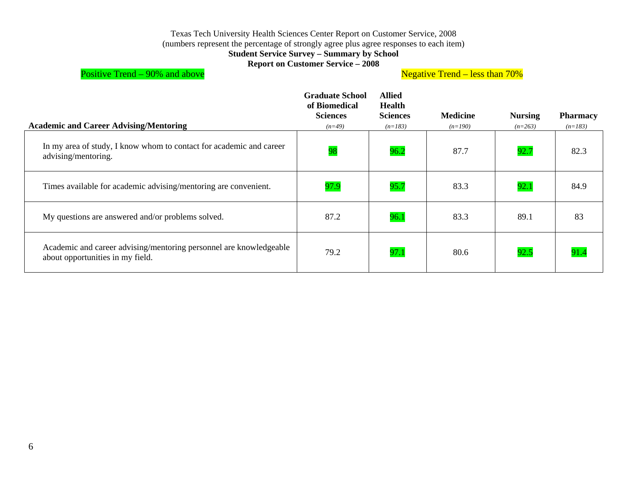#### Texas Tech University Health Sciences Center Report on Customer Service, 2008

(numbers represent the percentage of strongly agree plus agree responses to each item)

#### **Student Service Survey – Summary by School**

**Report on Customer Service – 2008** 

Positive Trend – 90% and above **Negative Trend – less than 70%** 

| <b>Academic and Career Advising/Mentoring</b>                                                          | <b>Graduate School</b><br>of Biomedical<br><b>Sciences</b><br>$(n=49)$ | <b>Allied</b><br><b>Health</b><br><b>Sciences</b><br>$(n=183)$ | <b>Medicine</b><br>$(n=190)$ | <b>Nursing</b><br>$(n=263)$ | <b>Pharmacy</b><br>$(n=183)$ |
|--------------------------------------------------------------------------------------------------------|------------------------------------------------------------------------|----------------------------------------------------------------|------------------------------|-----------------------------|------------------------------|
| In my area of study, I know whom to contact for academic and career<br>advising/mentoring.             | 98                                                                     | 96.2                                                           | 87.7                         | 92.7                        | 82.3                         |
| Times available for academic advising/mentoring are convenient.                                        | 97.9                                                                   | 95.7                                                           | 83.3                         | 92.1                        | 84.9                         |
| My questions are answered and/or problems solved.                                                      | 87.2                                                                   | 96.1                                                           | 83.3                         | 89.1                        | 83                           |
| Academic and career advising/mentoring personnel are knowledgeable<br>about opportunities in my field. | 79.2                                                                   | 97.1                                                           | 80.6                         | 92.5                        | 91.4                         |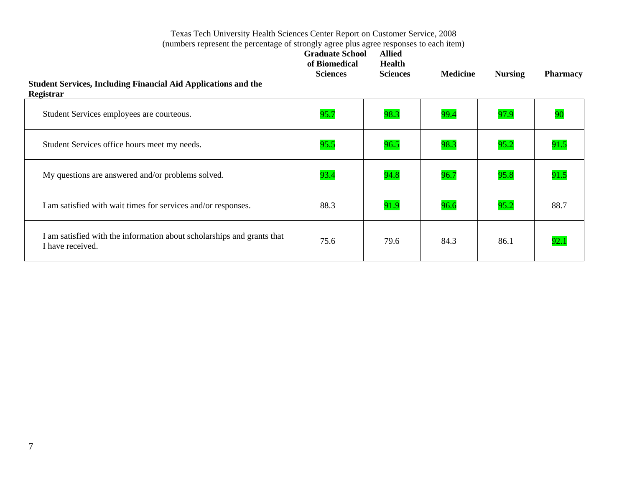| <b>Student Services, Including Financial Aid Applications and the</b><br>Registrar         | <b>Graduate School</b><br>of Biomedical<br><b>Sciences</b> | <b>Allied</b><br><b>Health</b><br><b>Sciences</b> | <b>Medicine</b> | <b>Nursing</b> | <b>Pharmacy</b> |
|--------------------------------------------------------------------------------------------|------------------------------------------------------------|---------------------------------------------------|-----------------|----------------|-----------------|
| Student Services employees are courteous.                                                  | 95.7                                                       | 98.3                                              | 99.4            | 97.9           | 90              |
| Student Services office hours meet my needs.                                               | 95.5                                                       | 96.5                                              | 98.3            | 95.2           | 91.5            |
| My questions are answered and/or problems solved.                                          | 93.4                                                       | 94.8                                              | 96.7            | 95.8           | 91.5            |
| I am satisfied with wait times for services and/or responses.                              | 88.3                                                       | 91.9                                              | 96.6            | 95.2           | 88.7            |
| I am satisfied with the information about scholarships and grants that<br>I have received. | 75.6                                                       | 79.6                                              | 84.3            | 86.1           | 92.1            |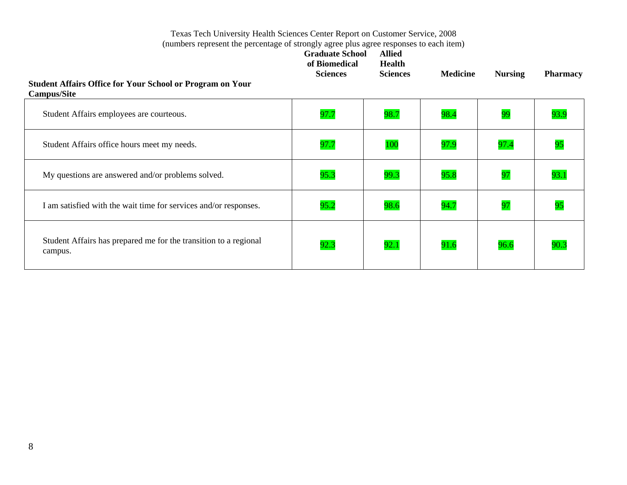| <b>Student Affairs Office for Your School or Program on Your</b><br><b>Campus/Site</b> | <b>Graduate School</b><br>of Biomedical<br><b>Sciences</b> | <b>Allied</b><br><b>Health</b><br><b>Sciences</b> | <b>Medicine</b> | <b>Nursing</b> | <b>Pharmacy</b> |
|----------------------------------------------------------------------------------------|------------------------------------------------------------|---------------------------------------------------|-----------------|----------------|-----------------|
| Student Affairs employees are courteous.                                               | 97.7                                                       | 98.7                                              | 98.4            | 99             | 93.9            |
| Student Affairs office hours meet my needs.                                            | 97.7                                                       | 100                                               | 97.9            | 97.4           | 95              |
| My questions are answered and/or problems solved.                                      | 95.3                                                       | 99.3                                              | 95.8            | 97             | 93.1            |
| I am satisfied with the wait time for services and/or responses.                       | 95.2                                                       | 98.6                                              | 94.7            | 97             | 95              |
| Student Affairs has prepared me for the transition to a regional<br>campus.            | 92.3                                                       | 92.1                                              | 91.6            | 96.6           | 90.3            |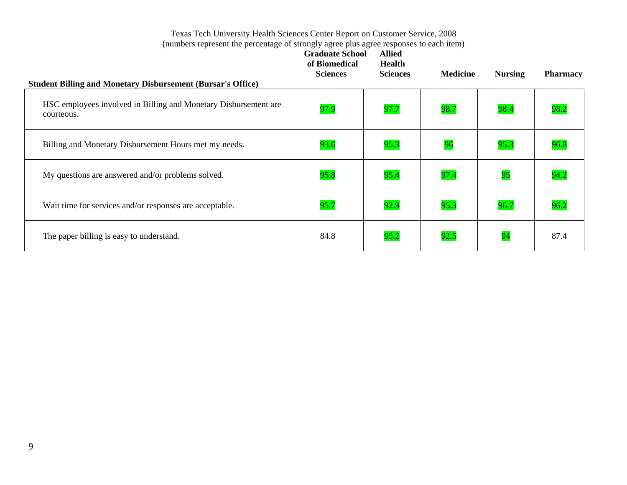| <b>Student Billing and Monetary Disbursement (Bursar's Office)</b>            | <b>Graduate School</b><br>of Biomedical<br><b>Sciences</b> | <b>Allied</b><br><b>Health</b><br><b>Sciences</b> | <b>Medicine</b> | <b>Nursing</b> | <b>Pharmacy</b> |
|-------------------------------------------------------------------------------|------------------------------------------------------------|---------------------------------------------------|-----------------|----------------|-----------------|
| HSC employees involved in Billing and Monetary Disbursement are<br>courteous. | 97.9                                                       | 97.7                                              | 98.7            | 98.4           | 98.2            |
| Billing and Monetary Disbursement Hours met my needs.                         | 93.6                                                       | 95.3                                              | 96              | 95.3           | 96.8            |
| My questions are answered and/or problems solved.                             | 95.8                                                       | 95.4                                              | 97.4            | 95             | 94.2            |
| Wait time for services and/or responses are acceptable.                       | 95.7                                                       | 92.9                                              | 95.3            | 96.7           | 96.2            |
| The paper billing is easy to understand.                                      | 84.8                                                       | 95.2                                              | 92.5            | 94             | 87.4            |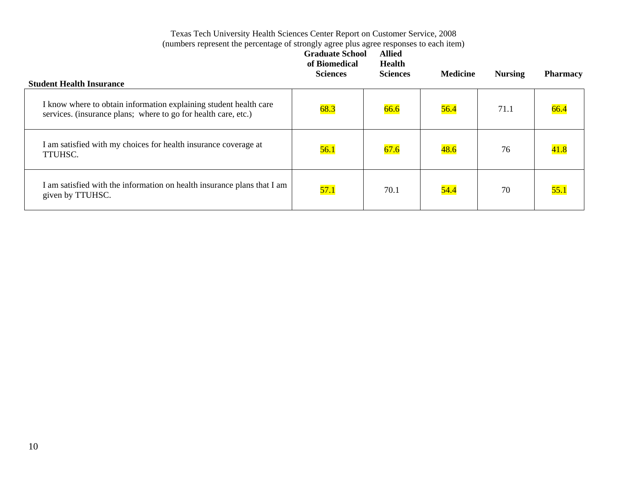| <b>Student Health Insurance</b>                                                                                                     | <b>Graduate School</b><br>of Biomedical<br><b>Sciences</b> | <b>Allied</b><br><b>Health</b><br><b>Sciences</b> | <b>Medicine</b> | <b>Nursing</b> | <b>Pharmacy</b> |
|-------------------------------------------------------------------------------------------------------------------------------------|------------------------------------------------------------|---------------------------------------------------|-----------------|----------------|-----------------|
| I know where to obtain information explaining student health care<br>services. (insurance plans; where to go for health care, etc.) | 68.3                                                       | 66.6                                              | 56.4            | 71.1           | 66.4            |
| I am satisfied with my choices for health insurance coverage at<br>TTUHSC.                                                          | 56.1                                                       | 67.6                                              | 48.6            | 76             | 41.8            |
| I am satisfied with the information on health insurance plans that I am<br>given by TTUHSC.                                         | 57.1                                                       | 70.1                                              | 54.4            | 70             | 55.1            |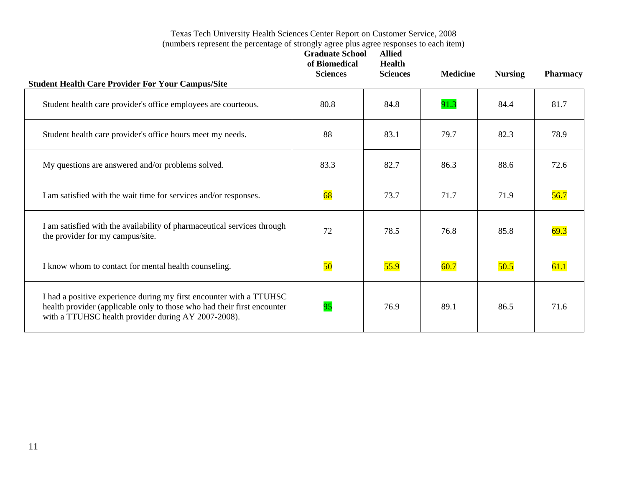| <b>Student Health Care Provider For Your Campus/Site</b>                                                                                                                                              | <b>Graduate School</b><br>of Biomedical<br><b>Sciences</b> | <b>Allied</b><br><b>Health</b><br><b>Sciences</b> | <b>Medicine</b> | <b>Nursing</b> | <b>Pharmacy</b> |
|-------------------------------------------------------------------------------------------------------------------------------------------------------------------------------------------------------|------------------------------------------------------------|---------------------------------------------------|-----------------|----------------|-----------------|
| Student health care provider's office employees are courteous.                                                                                                                                        | 80.8                                                       | 84.8                                              | 91.3            | 84.4           | 81.7            |
| Student health care provider's office hours meet my needs.                                                                                                                                            | 88                                                         | 83.1                                              | 79.7            | 82.3           | 78.9            |
| My questions are answered and/or problems solved.                                                                                                                                                     | 83.3                                                       | 82.7                                              | 86.3            | 88.6           | 72.6            |
| I am satisfied with the wait time for services and/or responses.                                                                                                                                      | 68                                                         | 73.7                                              | 71.7            | 71.9           | 56.7            |
| I am satisfied with the availability of pharmaceutical services through<br>the provider for my campus/site.                                                                                           | 72                                                         | 78.5                                              | 76.8            | 85.8           | 69.3            |
| I know whom to contact for mental health counseling.                                                                                                                                                  | 50                                                         | 55.9                                              | 60.7            | 50.5           | 61.1            |
| I had a positive experience during my first encounter with a TTUHSC<br>health provider (applicable only to those who had their first encounter<br>with a TTUHSC health provider during AY 2007-2008). | 95                                                         | 76.9                                              | 89.1            | 86.5           | 71.6            |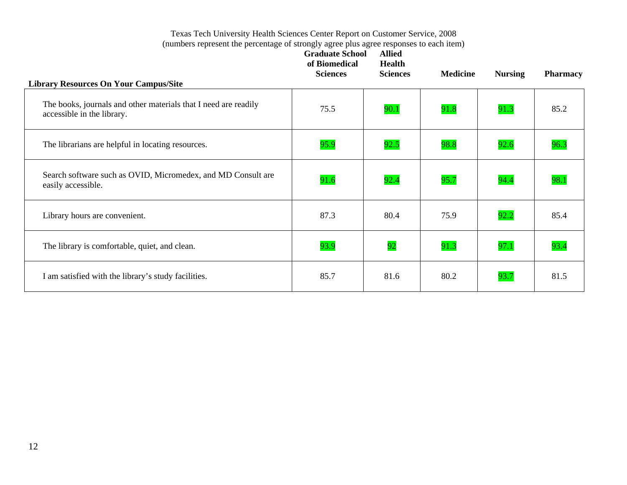|                                                                                               | <b>Graduate School</b><br>of Biomedical<br><b>Sciences</b> | <b>Allied</b><br><b>Health</b><br><b>Sciences</b> | <b>Medicine</b> | <b>Nursing</b> | <b>Pharmacy</b> |
|-----------------------------------------------------------------------------------------------|------------------------------------------------------------|---------------------------------------------------|-----------------|----------------|-----------------|
| <b>Library Resources On Your Campus/Site</b>                                                  |                                                            |                                                   |                 |                |                 |
| The books, journals and other materials that I need are readily<br>accessible in the library. | 75.5                                                       | 90.1                                              | 91.8            | 91.3           | 85.2            |
| The librarians are helpful in locating resources.                                             | 95.9                                                       | 92.5                                              | 98.8            | 92.6           | 96.3            |
| Search software such as OVID, Micromedex, and MD Consult are<br>easily accessible.            | 91.6                                                       | 92.4                                              | 95.7            | 94.4           | 98.1            |
| Library hours are convenient.                                                                 | 87.3                                                       | 80.4                                              | 75.9            | 92.2           | 85.4            |
| The library is comfortable, quiet, and clean.                                                 | 93.9                                                       | 92                                                | 91.3            | 97.1           | 93.4            |
| I am satisfied with the library's study facilities.                                           | 85.7                                                       | 81.6                                              | 80.2            | 93.7           | 81.5            |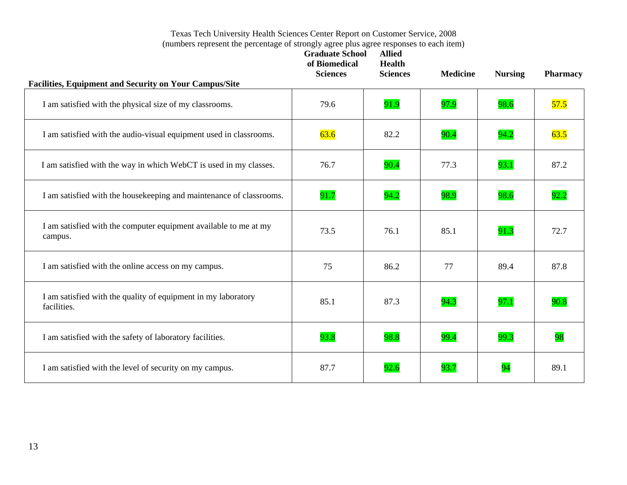| Facilities, Equipment and Security on Your Campus/Site                       | <b>Graduate School</b><br>of Biomedical<br><b>Sciences</b> | <b>Allied</b><br><b>Health</b><br><b>Sciences</b> | <b>Medicine</b> | <b>Nursing</b> | <b>Pharmacy</b> |
|------------------------------------------------------------------------------|------------------------------------------------------------|---------------------------------------------------|-----------------|----------------|-----------------|
| I am satisfied with the physical size of my classrooms.                      | 79.6                                                       | 91.9                                              | 97.9            | 98.6           | 57.5            |
| I am satisfied with the audio-visual equipment used in classrooms.           | 63.6                                                       | 82.2                                              | 90.4            | 94.2           | 63.5            |
| I am satisfied with the way in which WebCT is used in my classes.            | 76.7                                                       | 90.4                                              | 77.3            | 93.1           | 87.2            |
| I am satisfied with the housekeeping and maintenance of classrooms.          | 91.7                                                       | 94.2                                              | 98.9            | 98.6           | 92.2            |
| I am satisfied with the computer equipment available to me at my<br>campus.  | 73.5                                                       | 76.1                                              | 85.1            | 91.3           | 72.7            |
| I am satisfied with the online access on my campus.                          | 75                                                         | 86.2                                              | 77              | 89.4           | 87.8            |
| I am satisfied with the quality of equipment in my laboratory<br>facilities. | 85.1                                                       | 87.3                                              | 94.3            | 97.1           | 90.8            |
| I am satisfied with the safety of laboratory facilities.                     | 93.8                                                       | 98.8                                              | 99.4            | 99.3           | 98              |
| I am satisfied with the level of security on my campus.                      | 87.7                                                       | 92.6                                              | 93.7            | 94             | 89.1            |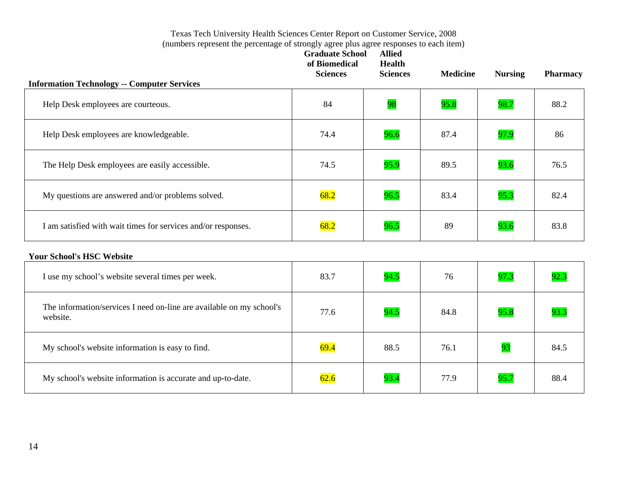| <b>Information Technology -- Computer Services</b>            | <b>Graduate School</b><br>of Biomedical<br><b>Sciences</b> | <b>Allied</b><br><b>Health</b><br><b>Sciences</b> | <b>Medicine</b> | <b>Nursing</b> | <b>Pharmacy</b> |
|---------------------------------------------------------------|------------------------------------------------------------|---------------------------------------------------|-----------------|----------------|-----------------|
| Help Desk employees are courteous.                            | 84                                                         | 98                                                | 95.8            | 98.7           | 88.2            |
| Help Desk employees are knowledgeable.                        | 74.4                                                       | 96.6                                              | 87.4            | 97.9           | 86              |
| The Help Desk employees are easily accessible.                | 74.5                                                       | 95.9                                              | 89.5            | 93.6           | 76.5            |
| My questions are answered and/or problems solved.             | 68.2                                                       | 96.5                                              | 83.4            | 95.3           | 82.4            |
| I am satisfied with wait times for services and/or responses. | 68.2                                                       | 96.5                                              | 89              | 93.6           | 83.8            |

#### **Your School's HSC Website**

| I use my school's website several times per week.                                | 83.7 | 94.5 | 76   | 97.3 | 92.3 |
|----------------------------------------------------------------------------------|------|------|------|------|------|
| The information/services I need on-line are available on my school's<br>website. | 77.6 | 94.5 | 84.8 | 95.8 | 93.3 |
| My school's website information is easy to find.                                 | 69.4 | 88.5 | 76.1 | 93   | 84.5 |
| My school's website information is accurate and up-to-date.                      | 62.6 | 93.4 | 77.9 | 95.7 | 88.4 |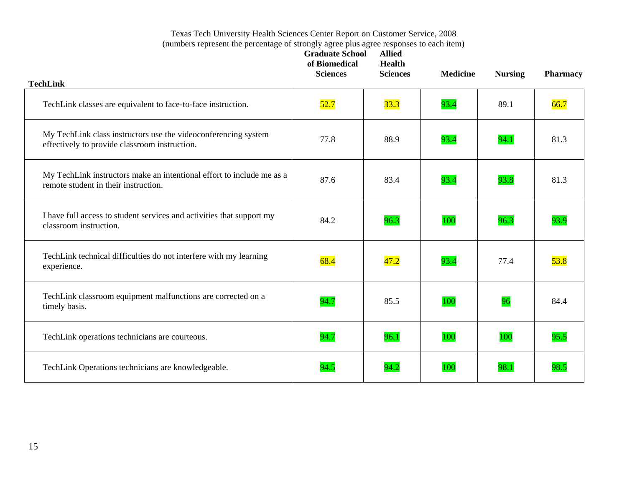| <b>TechLink</b>                                                                                                 | <b>Graduate School</b><br>of Biomedical<br><b>Sciences</b> | <b>Allied</b><br><b>Health</b><br><b>Sciences</b> | <b>Medicine</b> | <b>Nursing</b> | <b>Pharmacy</b> |
|-----------------------------------------------------------------------------------------------------------------|------------------------------------------------------------|---------------------------------------------------|-----------------|----------------|-----------------|
|                                                                                                                 |                                                            |                                                   |                 |                |                 |
| TechLink classes are equivalent to face-to-face instruction.                                                    | 52.7                                                       | 33.3                                              | 93.4            | 89.1           | 66.7            |
| My TechLink class instructors use the videoconferencing system<br>effectively to provide classroom instruction. | 77.8                                                       | 88.9                                              | 93.4            | 94.1           | 81.3            |
| My TechLink instructors make an intentional effort to include me as a<br>remote student in their instruction.   | 87.6                                                       | 83.4                                              | 93.4            | 93.8           | 81.3            |
| I have full access to student services and activities that support my<br>classroom instruction.                 | 84.2                                                       | 96.3                                              | 100             | 96.3           | 93.9            |
| TechLink technical difficulties do not interfere with my learning<br>experience.                                | 68.4                                                       | 47.2                                              | 93.4            | 77.4           | 53.8            |
| TechLink classroom equipment malfunctions are corrected on a<br>timely basis.                                   | 94.7                                                       | 85.5                                              | 100             | 96             | 84.4            |
| TechLink operations technicians are courteous.                                                                  | 94.7                                                       | 96.1                                              | 100             | 100            | 95.5            |
| TechLink Operations technicians are knowledgeable.                                                              | 94.5                                                       | 94.2                                              | 100             | 98.1           | 98.5            |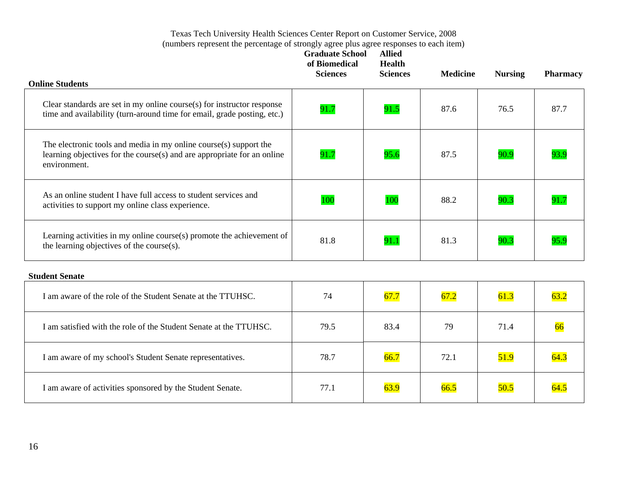| <b>Online Students</b>                                                                                                                                       | <b>Graduate School</b><br>of Biomedical<br><b>Sciences</b> | <b>Allied</b><br><b>Health</b><br><b>Sciences</b> | <b>Medicine</b> | <b>Nursing</b> | <b>Pharmacy</b> |
|--------------------------------------------------------------------------------------------------------------------------------------------------------------|------------------------------------------------------------|---------------------------------------------------|-----------------|----------------|-----------------|
| Clear standards are set in my online course(s) for instructor response<br>time and availability (turn-around time for email, grade posting, etc.)            | 91.7                                                       | 91.5                                              | 87.6            | 76.5           | 87.7            |
| The electronic tools and media in my online course(s) support the<br>learning objectives for the course(s) and are appropriate for an online<br>environment. | 91.7                                                       | 95.6                                              | 87.5            | 90.9           |                 |
| As an online student I have full access to student services and<br>activities to support my online class experience.                                         | 100                                                        | 100                                               | 88.2            | 90.3           | 91.7            |
| Learning activities in my online course $(s)$ promote the achievement of<br>the learning objectives of the course(s).                                        | 81.8                                                       | 91.1                                              | 81.3            | 90.3           | 95.9            |

#### **Student Senate**

| I am aware of the role of the Student Senate at the TTUHSC.       | 74   | 67.7 | 67.2 | 61.3 | 63.2 |
|-------------------------------------------------------------------|------|------|------|------|------|
| I am satisfied with the role of the Student Senate at the TTUHSC. | 79.5 | 83.4 | 79   | 71.4 | 66   |
| I am aware of my school's Student Senate representatives.         | 78.7 | 66.7 | 72.1 | 51.9 | 64.3 |
| I am aware of activities sponsored by the Student Senate.         | 77.1 | 63.9 | 66.5 | 50.5 | 64.5 |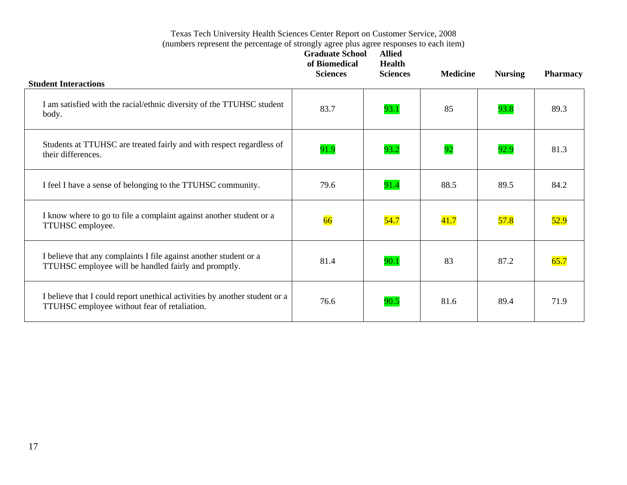| <b>Student Interactions</b>                                                                                                | <b>Graduate School</b><br>of Biomedical<br><b>Sciences</b> | <b>Allied</b><br><b>Health</b><br><b>Sciences</b> | <b>Medicine</b> | <b>Nursing</b> | <b>Pharmacy</b> |
|----------------------------------------------------------------------------------------------------------------------------|------------------------------------------------------------|---------------------------------------------------|-----------------|----------------|-----------------|
| I am satisfied with the racial/ethnic diversity of the TTUHSC student<br>body.                                             | 83.7                                                       | 93.1                                              | 85              | 93.8           | 89.3            |
| Students at TTUHSC are treated fairly and with respect regardless of<br>their differences.                                 | 91.9                                                       | 93.2                                              | 92              | 92.9           | 81.3            |
| I feel I have a sense of belonging to the TTUHSC community.                                                                | 79.6                                                       | 91.4                                              | 88.5            | 89.5           | 84.2            |
| I know where to go to file a complaint against another student or a<br>TTUHSC employee.                                    | 66                                                         | 54.7                                              | 41.7            | 57.8           | 52.9            |
| I believe that any complaints I file against another student or a<br>TTUHSC employee will be handled fairly and promptly.  | 81.4                                                       | 90.1                                              | 83              | 87.2           | 65.7            |
| I believe that I could report unethical activities by another student or a<br>TTUHSC employee without fear of retaliation. | 76.6                                                       | 90.5                                              | 81.6            | 89.4           | 71.9            |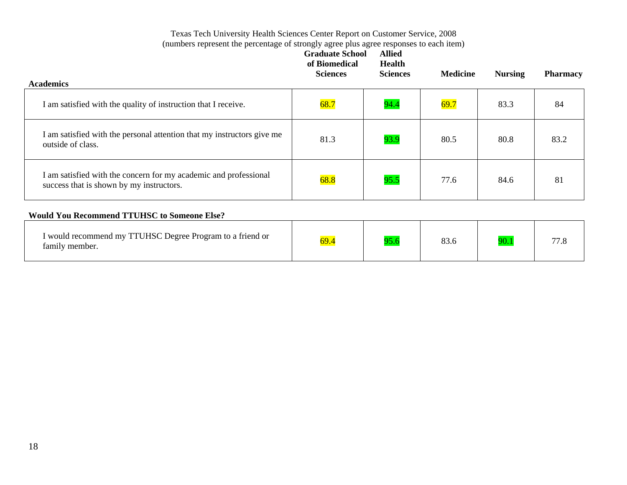|                                                                                                              | <b>Graduate School</b><br>of Biomedical<br><b>Sciences</b> | <b>Allied</b><br><b>Health</b><br><b>Sciences</b> | <b>Medicine</b> | <b>Nursing</b> | <b>Pharmacy</b> |
|--------------------------------------------------------------------------------------------------------------|------------------------------------------------------------|---------------------------------------------------|-----------------|----------------|-----------------|
| <b>Academics</b>                                                                                             |                                                            |                                                   |                 |                |                 |
| I am satisfied with the quality of instruction that I receive.                                               | 68.7                                                       | 94.4                                              | 69.7            | 83.3           | 84              |
| I am satisfied with the personal attention that my instructors give me<br>outside of class.                  | 81.3                                                       | 93.9                                              | 80.5            | 80.8           | 83.2            |
| I am satisfied with the concern for my academic and professional<br>success that is shown by my instructors. | 68.8                                                       | 95.5                                              | 77.6            | 84.6           | 81              |
| <b>Would You Recommend TTUHSC to Someone Else?</b>                                                           |                                                            |                                                   |                 |                |                 |
| I would recommend my TTUHSC Degree Program to a friend or<br>family member.                                  | 69.4                                                       | 95.6                                              | 83.6            | 90.1           | 77.8            |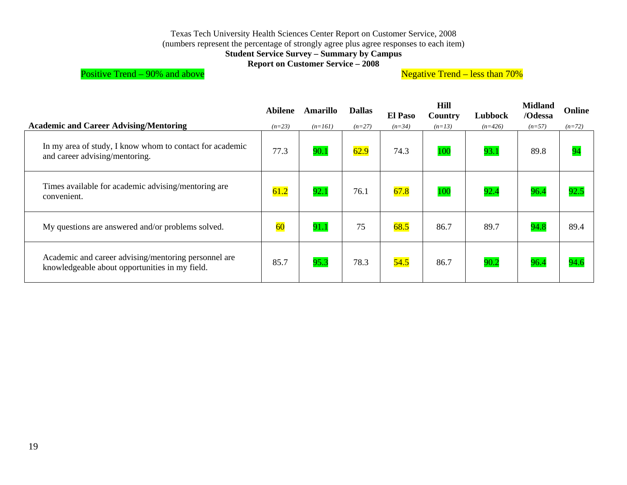#### Texas Tech University Health Sciences Center Report on Customer Service, 2008

(numbers represent the percentage of strongly agree plus agree responses to each item)

**Student Service Survey – Summary by Campus** 

**Report on Customer Service – 2008** 

# Positive Trend – 90% and above **Negative Trend – less than 70%**

|                                                                                                        | Abilene  | Amarillo  | <b>Dallas</b> | <b>El Paso</b> | Hill<br><b>Country</b> | Lubbock   | <b>Midland</b><br>/Odessa | Online   |
|--------------------------------------------------------------------------------------------------------|----------|-----------|---------------|----------------|------------------------|-----------|---------------------------|----------|
| <b>Academic and Career Advising/Mentoring</b>                                                          | $(n=23)$ | $(n=161)$ | $(n=27)$      | $(n=34)$       | $(n=13)$               | $(n=426)$ | $(n=57)$                  | $(n=72)$ |
| In my area of study, I know whom to contact for academic<br>and career advising/mentoring.             | 77.3     | 90.1      | 62.9          | 74.3           | 100                    | 93.1      | 89.8                      | 94       |
| Times available for academic advising/mentoring are<br>convenient.                                     | 61.2     | 92.1      | 76.1          | 67.8           | 100                    | 92.4      | 96.4                      | 92.5     |
| My questions are answered and/or problems solved.                                                      | 60       | 91.1      | 75            | 68.5           | 86.7                   | 89.7      | 94.8                      | 89.4     |
| Academic and career advising/mentoring personnel are<br>knowledgeable about opportunities in my field. | 85.7     | 95.3      | 78.3          | 54.5           | 86.7                   | 90.2      | 96.4                      | 94.6     |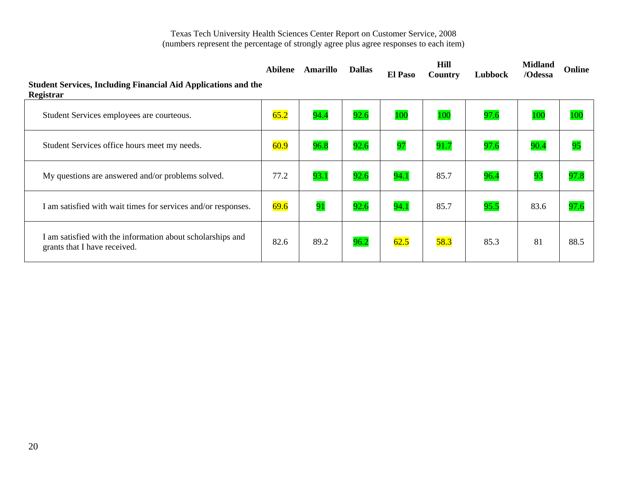| <b>Student Services, Including Financial Aid Applications and the</b><br>Registrar         | Abilene | Amarillo | <b>Dallas</b> | <b>El Paso</b> | <b>Hill</b><br><b>Country</b> | Lubbock | <b>Midland</b><br>/Odessa | Online |
|--------------------------------------------------------------------------------------------|---------|----------|---------------|----------------|-------------------------------|---------|---------------------------|--------|
| Student Services employees are courteous.                                                  | 65.2    | 94.4     | 92.6          | 100            | 100                           | 97.6    | 100                       | 100    |
| Student Services office hours meet my needs.                                               | 60.9    | 96.8     | 92.6          | 97             | 91.7                          | 97.6    | 90.4                      | 95     |
| My questions are answered and/or problems solved.                                          | 77.2    | 93.1     | 92.6          | 94.1           | 85.7                          | 96.4    | 93                        | 97.8   |
| I am satisfied with wait times for services and/or responses.                              | 69.6    | 91       | 92.6          | 94.1           | 85.7                          | 95.5    | 83.6                      | 97.6   |
| I am satisfied with the information about scholarships and<br>grants that I have received. | 82.6    | 89.2     | 96.2          | 62.5           | 58.3                          | 85.3    | 81                        | 88.5   |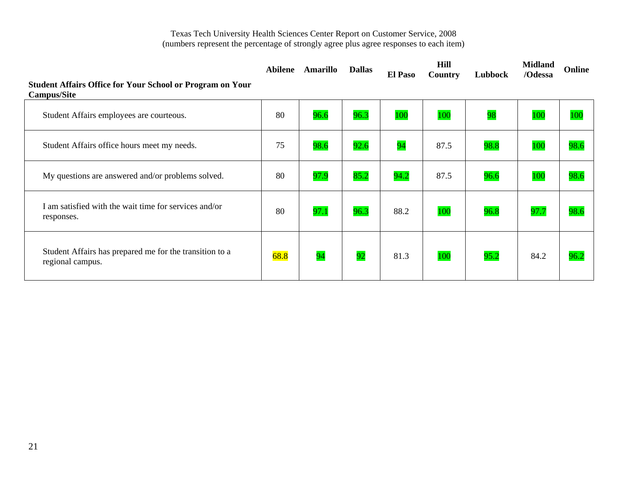| <b>Student Affairs Office for Your School or Program on Your</b><br><b>Campus/Site</b> | <b>Abilene</b> | <b>Amarillo</b> | <b>Dallas</b> | <b>El Paso</b> | <b>Hill</b><br>Country | Lubbock | <b>Midland</b><br>/Odessa | <b>Online</b> |
|----------------------------------------------------------------------------------------|----------------|-----------------|---------------|----------------|------------------------|---------|---------------------------|---------------|
| Student Affairs employees are courteous.                                               | 80             | 96.6            | 96.3          | 100            | 100                    | 98      | 100                       | 100           |
| Student Affairs office hours meet my needs.                                            | 75             | 98.6            | 92.6          | 94             | 87.5                   | 98.8    | 100                       | 98.6          |
| My questions are answered and/or problems solved.                                      | 80             | 97.9            | 85.2          | 94.2           | 87.5                   | 96.6    | 100                       | 98.6          |
| I am satisfied with the wait time for services and/or<br>responses.                    | 80             | 97.1            | 96.3          | 88.2           | 100                    | 96.8    | 97.7                      | 98.6          |
| Student Affairs has prepared me for the transition to a<br>regional campus.            | 68.8           | 94              | 92            | 81.3           | 100                    | 95.2    | 84.2                      | 96.2          |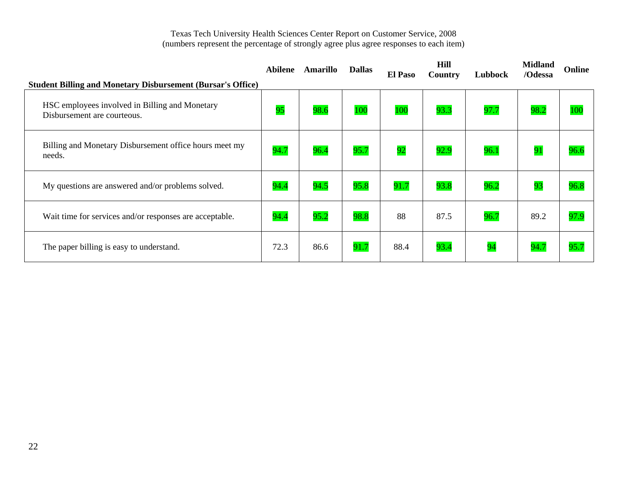| <b>Student Billing and Monetary Disbursement (Bursar's Office)</b>            | Abilene | Amarillo | <b>Dallas</b> | <b>El Paso</b> | Hill<br><b>Country</b> | Lubbock | <b>Midland</b><br>/Odessa | Online |
|-------------------------------------------------------------------------------|---------|----------|---------------|----------------|------------------------|---------|---------------------------|--------|
| HSC employees involved in Billing and Monetary<br>Disbursement are courteous. | 95      | 98.6     | 100           | 100            | 93.3                   | 97.7    | 98.2                      | 100    |
| Billing and Monetary Disbursement office hours meet my<br>needs.              | 94.7    | 96.4     | 95.7          | 92             | 92.9                   | 96.1    | 91                        | 96.6   |
| My questions are answered and/or problems solved.                             | 94.4    | 94.5     | 95.8          | 91.7           | 93.8                   | 96.2    | 93                        | 96.8   |
| Wait time for services and/or responses are acceptable.                       | 94.4    | 95.2     | 98.8          | 88             | 87.5                   | 96.7    | 89.2                      | 97.9   |
| The paper billing is easy to understand.                                      | 72.3    | 86.6     | 91.7          | 88.4           | 93.4                   | 94      | 94.7                      | 95.7   |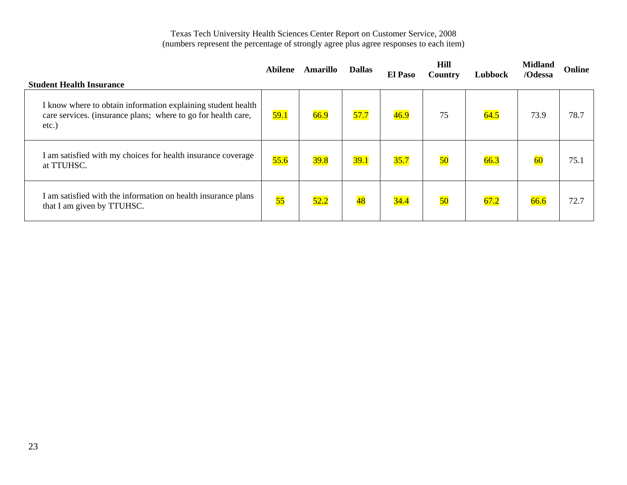| <b>Student Health Insurance</b>                                                                                                        | Abilene | Amarillo | <b>Dallas</b>   | <b>El Paso</b> | Hill<br>Country | Lubbock | <b>Midland</b><br>/Odessa | Online |
|----------------------------------------------------------------------------------------------------------------------------------------|---------|----------|-----------------|----------------|-----------------|---------|---------------------------|--------|
| I know where to obtain information explaining student health<br>care services. (insurance plans; where to go for health care,<br>etc.) | 59.1    | 66.9     | 57.7            | 46.9           | 75              | 64.5    | 73.9                      | 78.7   |
| I am satisfied with my choices for health insurance coverage<br>at TTUHSC.                                                             | 55.6    | 39.8     | 39.1            | 35.7           | 50              | 66.3    | 60                        | 75.1   |
| I am satisfied with the information on health insurance plans<br>that I am given by TTUHSC.                                            | 55      | 52.2     | $\overline{48}$ | 34.4           | 50              | 67.2    | 66.6                      | 72.7   |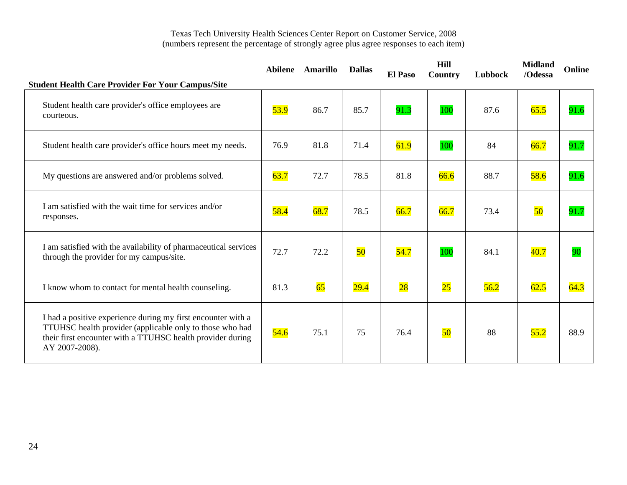| <b>Student Health Care Provider For Your Campus/Site</b>                                                                                                                                                 | Abilene | <b>Amarillo</b> | <b>Dallas</b> | <b>El Paso</b>  | <b>Hill</b><br>Country | Lubbock | <b>Midland</b><br>/Odessa | Online |
|----------------------------------------------------------------------------------------------------------------------------------------------------------------------------------------------------------|---------|-----------------|---------------|-----------------|------------------------|---------|---------------------------|--------|
| Student health care provider's office employees are<br>courteous.                                                                                                                                        | 53.9    | 86.7            | 85.7          | 91.3            | 100                    | 87.6    | 65.5                      | 91.6   |
| Student health care provider's office hours meet my needs.                                                                                                                                               | 76.9    | 81.8            | 71.4          | 61.9            | 100                    | 84      | 66.7                      | 91.7   |
| My questions are answered and/or problems solved.                                                                                                                                                        | 63.7    | 72.7            | 78.5          | 81.8            | 66.6                   | 88.7    | 58.6                      | 91.6   |
| I am satisfied with the wait time for services and/or<br>responses.                                                                                                                                      | 58.4    | 68.7            | 78.5          | 66.7            | 66.7                   | 73.4    | 50                        | 91.7   |
| I am satisfied with the availability of pharmaceutical services<br>through the provider for my campus/site.                                                                                              | 72.7    | 72.2            | 50            | 54.7            | 100                    | 84.1    | 40.7                      | 90     |
| I know whom to contact for mental health counseling.                                                                                                                                                     | 81.3    | 65              | 29.4          | $\overline{28}$ | $\overline{25}$        | 56.2    | 62.5                      | 64.3   |
| I had a positive experience during my first encounter with a<br>TTUHSC health provider (applicable only to those who had<br>their first encounter with a TTUHSC health provider during<br>AY 2007-2008). | 54.6    | 75.1            | 75            | 76.4            | 50                     | 88      | 55.2                      | 88.9   |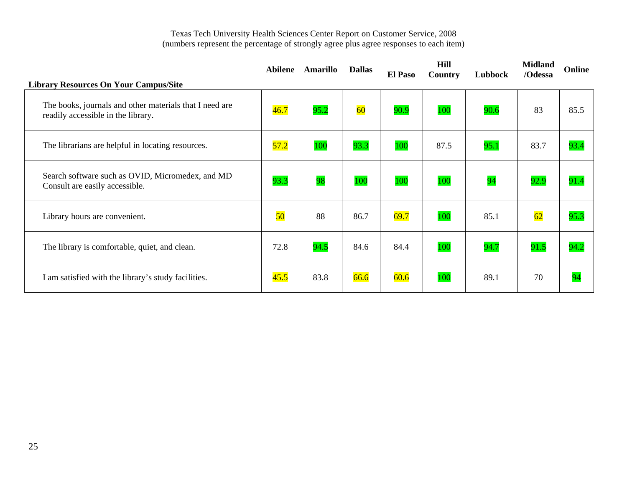| <b>Library Resources On Your Campus/Site</b>                                                  | <b>Abilene</b>  | Amarillo | <b>Dallas</b> | <b>El Paso</b> | <b>Hill</b><br>Country | Lubbock | <b>Midland</b><br>/Odessa | Online |
|-----------------------------------------------------------------------------------------------|-----------------|----------|---------------|----------------|------------------------|---------|---------------------------|--------|
| The books, journals and other materials that I need are<br>readily accessible in the library. | 46.7            | 95.2     | 60            | 90.9           | 100                    | 90.6    | 83                        | 85.5   |
| The librarians are helpful in locating resources.                                             | 57.2            | 100      | 93.3          | 100            | 87.5                   | 95.1    | 83.7                      | 93.4   |
| Search software such as OVID, Micromedex, and MD<br>Consult are easily accessible.            | 93.3            | 98       | 100           | 100            | 100                    | 94      | 92.9                      | 91.4   |
| Library hours are convenient.                                                                 | $\overline{50}$ | 88       | 86.7          | 69.7           | 100                    | 85.1    | 62                        | 95.3   |
| The library is comfortable, quiet, and clean.                                                 | 72.8            | 94.5     | 84.6          | 84.4           | 100                    | 94.7    | 91.5                      | 94.2   |
| I am satisfied with the library's study facilities.                                           | 45.5            | 83.8     | 66.6          | 60.6           | 100                    | 89.1    | 70                        | 94     |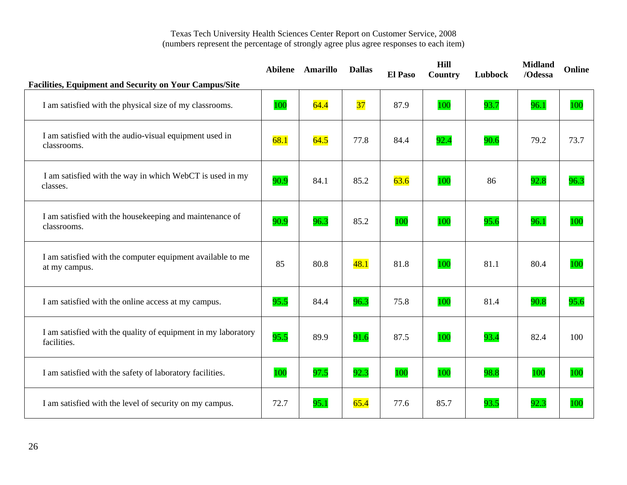| <b>Facilities, Equipment and Security on Your Campus/Site</b>                |      | Abilene Amarillo | <b>Dallas</b>   | El Paso | Hill<br>Country | Lubbock | <b>Midland</b><br>/Odessa | Online |
|------------------------------------------------------------------------------|------|------------------|-----------------|---------|-----------------|---------|---------------------------|--------|
| I am satisfied with the physical size of my classrooms.                      | 100  | 64.4             | $\overline{37}$ | 87.9    | 100             | 93.7    | 96.1                      | 100    |
| I am satisfied with the audio-visual equipment used in<br>classrooms.        | 68.1 | 64.5             | 77.8            | 84.4    | 92.4            | 90.6    | 79.2                      | 73.7   |
| I am satisfied with the way in which WebCT is used in my<br>classes.         | 90.9 | 84.1             | 85.2            | 63.6    | 100             | 86      | 92.8                      | 96.3   |
| I am satisfied with the housekeeping and maintenance of<br>classrooms.       | 90.9 | 96.3             | 85.2            | 100     | 100             | 95.6    | 96.1                      | 100    |
| I am satisfied with the computer equipment available to me<br>at my campus.  | 85   | 80.8             | 48.1            | 81.8    | 100             | 81.1    | 80.4                      | 100    |
| I am satisfied with the online access at my campus.                          | 95.5 | 84.4             | 96.3            | 75.8    | 100             | 81.4    | 90.8                      | 95.6   |
| I am satisfied with the quality of equipment in my laboratory<br>facilities. | 95.5 | 89.9             | 91.6            | 87.5    | 100             | 93.4    | 82.4                      | 100    |
| I am satisfied with the safety of laboratory facilities.                     | 100  | 97.5             | 92.3            | 100     | 100             | 98.8    | 100                       | 100    |
| I am satisfied with the level of security on my campus.                      | 72.7 | 95.1             | 65.4            | 77.6    | 85.7            | 93.5    | 92.3                      | 100    |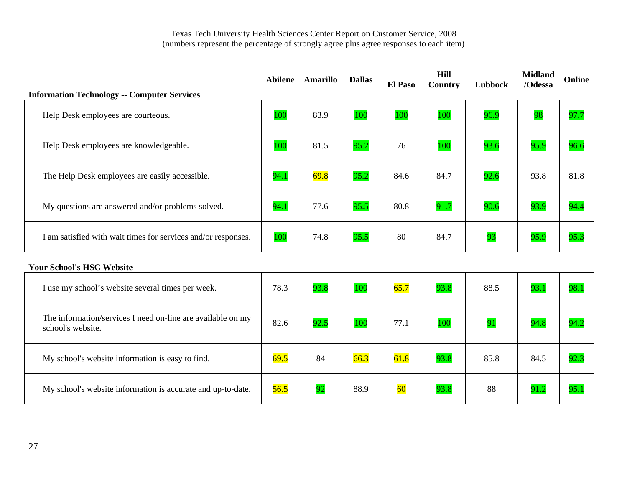| <b>Information Technology -- Computer Services</b>            | Abilene | Amarillo | <b>Dallas</b> | <b>El Paso</b> | Hill<br>Country | Lubbock | <b>Midland</b><br>/Odessa | Online |
|---------------------------------------------------------------|---------|----------|---------------|----------------|-----------------|---------|---------------------------|--------|
| Help Desk employees are courteous.                            | 100     | 83.9     | 100           | 100            | 100             | 96.9    | 98                        | 97.7   |
| Help Desk employees are knowledgeable.                        | 100     | 81.5     | 95.2          | 76             | 100             | 93.6    | 95.9                      | 96.6   |
| The Help Desk employees are easily accessible.                | 94.1    | 69.8     | 95.2          | 84.6           | 84.7            | 92.6    | 93.8                      | 81.8   |
| My questions are answered and/or problems solved.             | 94.1    | 77.6     | 95.5          | 80.8           | 91.7            | 90.6    | 93.9                      | 94.4   |
| I am satisfied with wait times for services and/or responses. | 100     | 74.8     | 95.5          | 80             | 84.7            | 93      | 95.9                      | 95.3   |
| <b>Your School's HSC Website</b>                              |         |          |               |                |                 |         |                           |        |

| I use my school's website several times per week.                                | 78.3 | 93.8 | 100  | 65.7 | 93.8 | 88.5 | 93.1 | 98.1 |
|----------------------------------------------------------------------------------|------|------|------|------|------|------|------|------|
| The information/services I need on-line are available on my<br>school's website. | 82.6 | 92.5 | 100  | 77.1 | 100  | 91   | 94.8 | 94.2 |
| My school's website information is easy to find.                                 | 69.5 | 84   | 66.3 | 61.8 | 93.8 | 85.8 | 84.5 | 92.3 |
| My school's website information is accurate and up-to-date.                      | 56.5 | 92   | 88.9 | 60   | 93.8 | 88   | 91.2 | 95.1 |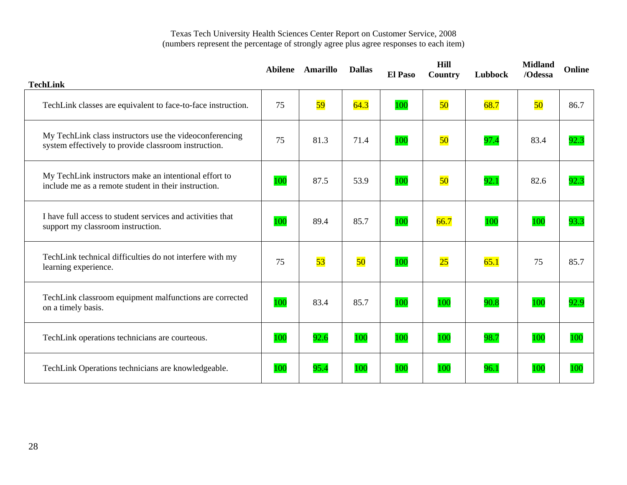|                                                                                                                 |     | Abilene Amarillo | <b>Dallas</b> | <b>El Paso</b> | <b>Hill</b><br>Country | Lubbock | <b>Midland</b><br>/Odessa | <b>Online</b> |
|-----------------------------------------------------------------------------------------------------------------|-----|------------------|---------------|----------------|------------------------|---------|---------------------------|---------------|
| <b>TechLink</b>                                                                                                 |     |                  |               |                |                        |         |                           |               |
| TechLink classes are equivalent to face-to-face instruction.                                                    | 75  | 59               | 64.3          | 100            | 50                     | 68.7    | 50                        | 86.7          |
| My TechLink class instructors use the videoconferencing<br>system effectively to provide classroom instruction. | 75  | 81.3             | 71.4          | 100            | 50                     | 97.4    | 83.4                      | 92.3          |
| My TechLink instructors make an intentional effort to<br>include me as a remote student in their instruction.   | 100 | 87.5             | 53.9          | 100            | 50                     | 92.1    | 82.6                      | 92.3          |
| I have full access to student services and activities that<br>support my classroom instruction.                 | 100 | 89.4             | 85.7          | 100            | 66.7                   | 100     | 100                       | 93.3          |
| TechLink technical difficulties do not interfere with my<br>learning experience.                                | 75  | 53               | 50            | 100            | 25                     | 65.1    | 75                        | 85.7          |
| TechLink classroom equipment malfunctions are corrected<br>on a timely basis.                                   | 100 | 83.4             | 85.7          | 100            | 100                    | 90.8    | 100                       | 92.9          |
| TechLink operations technicians are courteous.                                                                  | 100 | 92.6             | 100           | 100            | 100                    | 98.7    | 100                       | 100           |
| TechLink Operations technicians are knowledgeable.                                                              | 100 | 95.4             | <b>100</b>    | 100            | 100                    | 96.1    | 100                       | 100           |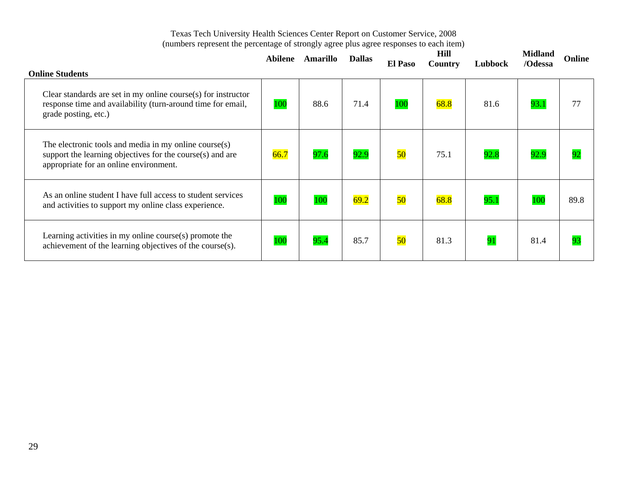| <b>Online Students</b>                                                                                                                                          | <b>Abilene</b> | Amarillo | <b>Dallas</b> | <b>El Paso</b> | Hill<br><b>Country</b> | Lubbock | <b>Midland</b><br>/Odessa | Online |
|-----------------------------------------------------------------------------------------------------------------------------------------------------------------|----------------|----------|---------------|----------------|------------------------|---------|---------------------------|--------|
| Clear standards are set in my online course $(s)$ for instructor<br>response time and availability (turn-around time for email,<br>grade posting, etc.)         | 100            | 88.6     | 71.4          | 100            | 68.8                   | 81.6    | 93.1                      | 77     |
| The electronic tools and media in my online course $(s)$<br>support the learning objectives for the course(s) and are<br>appropriate for an online environment. | 66.7           | 97.6     | 92.9          | 50             | 75.1                   | 92.8    | 92.9                      | 92     |
| As an online student I have full access to student services<br>and activities to support my online class experience.                                            | 100            | 100      | 69.2          | 50             | 68.8                   | 95.1    | 100                       | 89.8   |
| Learning activities in my online course $(s)$ promote the<br>achievement of the learning objectives of the course(s).                                           | 100            | 95.4     | 85.7          | 50             | 81.3                   | 91      | 81.4                      | 93     |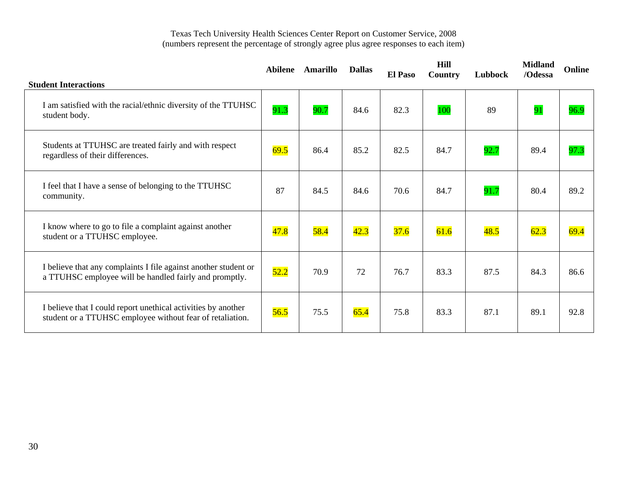|                                                                                                                            | <b>Abilene</b> | <b>Amarillo</b> | <b>Dallas</b> | <b>El Paso</b> | Hill<br>Country | Lubbock | <b>Midland</b><br>/Odessa | <b>Online</b> |
|----------------------------------------------------------------------------------------------------------------------------|----------------|-----------------|---------------|----------------|-----------------|---------|---------------------------|---------------|
| <b>Student Interactions</b>                                                                                                |                |                 |               |                |                 |         |                           |               |
| I am satisfied with the racial/ethnic diversity of the TTUHSC<br>student body.                                             | 91.3           | 90.7            | 84.6          | 82.3           | 100             | 89      | 91                        | 96.9          |
| Students at TTUHSC are treated fairly and with respect<br>regardless of their differences.                                 | 69.5           | 86.4            | 85.2          | 82.5           | 84.7            | 92.7    | 89.4                      | 97.3          |
| I feel that I have a sense of belonging to the TTUHSC<br>community.                                                        | 87             | 84.5            | 84.6          | 70.6           | 84.7            | 91.7    | 80.4                      | 89.2          |
| I know where to go to file a complaint against another<br>student or a TTUHSC employee.                                    | 47.8           | 58.4            | 42.3          | 37.6           | 61.6            | 48.5    | 62.3                      | 69.4          |
| I believe that any complaints I file against another student or<br>a TTUHSC employee will be handled fairly and promptly.  | 52.2           | 70.9            | 72            | 76.7           | 83.3            | 87.5    | 84.3                      | 86.6          |
| I believe that I could report unethical activities by another<br>student or a TTUHSC employee without fear of retaliation. | 56.5           | 75.5            | 65.4          | 75.8           | 83.3            | 87.1    | 89.1                      | 92.8          |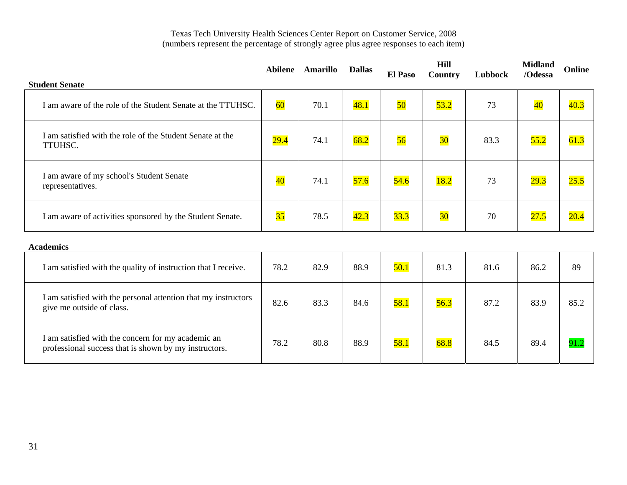|                                                                                                             | Abilene         | Amarillo | <b>Dallas</b> | <b>El Paso</b> | Hill<br>Country | Lubbock | <b>Midland</b><br>/Odessa | Online |
|-------------------------------------------------------------------------------------------------------------|-----------------|----------|---------------|----------------|-----------------|---------|---------------------------|--------|
| <b>Student Senate</b>                                                                                       |                 |          |               |                |                 |         |                           |        |
| I am aware of the role of the Student Senate at the TTUHSC.                                                 | 60              | 70.1     | 48.1          | 50             | 53.2            | 73      | $\overline{40}$           | 40.3   |
| I am satisfied with the role of the Student Senate at the<br>TTUHSC.                                        | 29.4            | 74.1     | 68.2          | 56             | 30 <sub>o</sub> | 83.3    | 55.2                      | 61.3   |
| I am aware of my school's Student Senate<br>representatives.                                                | $\overline{40}$ | 74.1     | 57.6          | 54.6           | 18.2            | 73      | 29.3                      | 25.5   |
| I am aware of activities sponsored by the Student Senate.                                                   | 35              | 78.5     | 42.3          | 33.3           | $\overline{30}$ | 70      | 27.5                      | 20.4   |
| <b>Academics</b>                                                                                            |                 |          |               |                |                 |         |                           |        |
| I am satisfied with the quality of instruction that I receive.                                              | 78.2            | 82.9     | 88.9          | 50.1           | 81.3            | 81.6    | 86.2                      | 89     |
| I am satisfied with the personal attention that my instructors<br>give me outside of class.                 | 82.6            | 83.3     | 84.6          | 58.1           | 56.3            | 87.2    | 83.9                      | 85.2   |
| I am satisfied with the concern for my academic an<br>professional success that is shown by my instructors. | 78.2            | 80.8     | 88.9          | 58.1           | 68.8            | 84.5    | 89.4                      | 91.2   |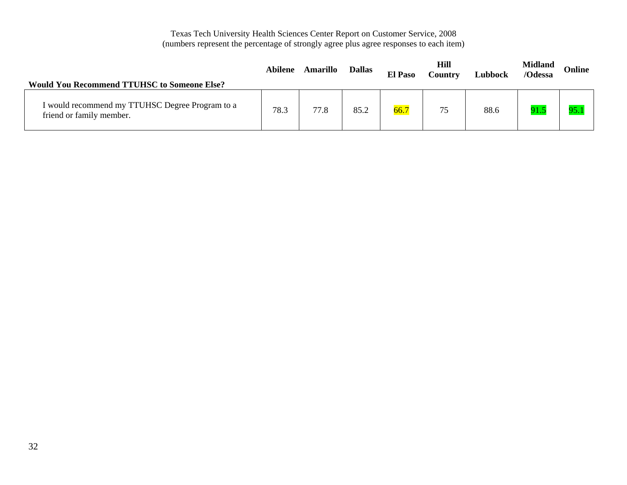| <b>Would You Recommend TTUHSC to Someone Else?</b>                          | Abilene | Amarillo | <b>Dallas</b> | <b>El Paso</b> | Hill<br>Country | Lubbock | <b>Midland</b><br>/Odessa | Online |
|-----------------------------------------------------------------------------|---------|----------|---------------|----------------|-----------------|---------|---------------------------|--------|
| I would recommend my TTUHSC Degree Program to a<br>friend or family member. | 78.3    | 77.8     | 85.2          | 66.7           | 75              | 88.6    | 91.5                      | 95.    |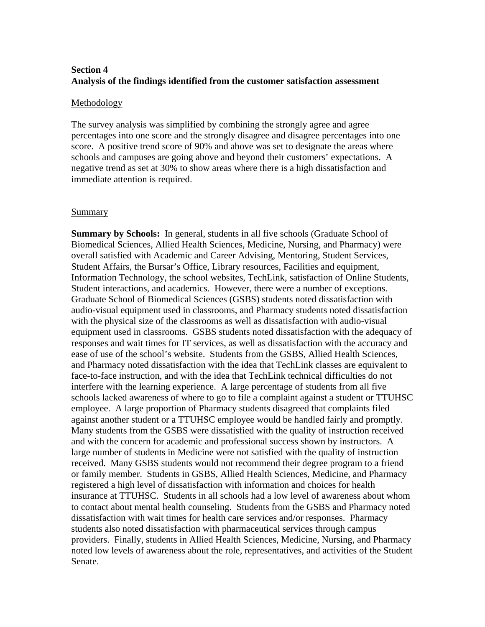# **Section 4 Analysis of the findings identified from the customer satisfaction assessment**

#### Methodology

The survey analysis was simplified by combining the strongly agree and agree percentages into one score and the strongly disagree and disagree percentages into one score. A positive trend score of 90% and above was set to designate the areas where schools and campuses are going above and beyond their customers' expectations. A negative trend as set at 30% to show areas where there is a high dissatisfaction and immediate attention is required.

#### Summary

**Summary by Schools:** In general, students in all five schools (Graduate School of Biomedical Sciences, Allied Health Sciences, Medicine, Nursing, and Pharmacy) were overall satisfied with Academic and Career Advising, Mentoring, Student Services, Student Affairs, the Bursar's Office, Library resources, Facilities and equipment, Information Technology, the school websites, TechLink, satisfaction of Online Students, Student interactions, and academics. However, there were a number of exceptions. Graduate School of Biomedical Sciences (GSBS) students noted dissatisfaction with audio-visual equipment used in classrooms, and Pharmacy students noted dissatisfaction with the physical size of the classrooms as well as dissatisfaction with audio-visual equipment used in classrooms. GSBS students noted dissatisfaction with the adequacy of responses and wait times for IT services, as well as dissatisfaction with the accuracy and ease of use of the school's website. Students from the GSBS, Allied Health Sciences, and Pharmacy noted dissatisfaction with the idea that TechLink classes are equivalent to face-to-face instruction, and with the idea that TechLink technical difficulties do not interfere with the learning experience. A large percentage of students from all five schools lacked awareness of where to go to file a complaint against a student or TTUHSC employee. A large proportion of Pharmacy students disagreed that complaints filed against another student or a TTUHSC employee would be handled fairly and promptly. Many students from the GSBS were dissatisfied with the quality of instruction received and with the concern for academic and professional success shown by instructors. A large number of students in Medicine were not satisfied with the quality of instruction received. Many GSBS students would not recommend their degree program to a friend or family member. Students in GSBS, Allied Health Sciences, Medicine, and Pharmacy registered a high level of dissatisfaction with information and choices for health insurance at TTUHSC. Students in all schools had a low level of awareness about whom to contact about mental health counseling. Students from the GSBS and Pharmacy noted dissatisfaction with wait times for health care services and/or responses. Pharmacy students also noted dissatisfaction with pharmaceutical services through campus providers. Finally, students in Allied Health Sciences, Medicine, Nursing, and Pharmacy noted low levels of awareness about the role, representatives, and activities of the Student Senate.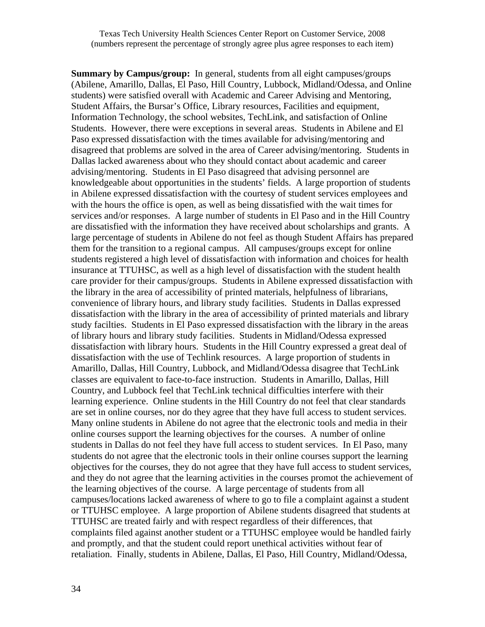**Summary by Campus/group:** In general, students from all eight campuses/groups (Abilene, Amarillo, Dallas, El Paso, Hill Country, Lubbock, Midland/Odessa, and Online students) were satisfied overall with Academic and Career Advising and Mentoring, Student Affairs, the Bursar's Office, Library resources, Facilities and equipment, Information Technology, the school websites, TechLink, and satisfaction of Online Students. However, there were exceptions in several areas. Students in Abilene and El Paso expressed dissatisfaction with the times available for advising/mentoring and disagreed that problems are solved in the area of Career advising/mentoring. Students in Dallas lacked awareness about who they should contact about academic and career advising/mentoring. Students in El Paso disagreed that advising personnel are knowledgeable about opportunities in the students' fields. A large proportion of students in Abilene expressed dissatisfaction with the courtesy of student services employees and with the hours the office is open, as well as being dissatisfied with the wait times for services and/or responses. A large number of students in El Paso and in the Hill Country are dissatisfied with the information they have received about scholarships and grants. A large percentage of students in Abilene do not feel as though Student Affairs has prepared them for the transition to a regional campus. All campuses/groups except for online students registered a high level of dissatisfaction with information and choices for health insurance at TTUHSC, as well as a high level of dissatisfaction with the student health care provider for their campus/groups. Students in Abilene expressed dissatisfaction with the library in the area of accessibility of printed materials, helpfulness of librarians, convenience of library hours, and library study facilities. Students in Dallas expressed dissatisfaction with the library in the area of accessibility of printed materials and library study facilties. Students in El Paso expressed dissatisfaction with the library in the areas of library hours and library study facilities. Students in Midland/Odessa expressed dissatisfaction with library hours. Students in the Hill Country expressed a great deal of dissatisfaction with the use of Techlink resources. A large proportion of students in Amarillo, Dallas, Hill Country, Lubbock, and Midland/Odessa disagree that TechLink classes are equivalent to face-to-face instruction. Students in Amarillo, Dallas, Hill Country, and Lubbock feel that TechLink technical difficulties interfere with their learning experience. Online students in the Hill Country do not feel that clear standards are set in online courses, nor do they agree that they have full access to student services. Many online students in Abilene do not agree that the electronic tools and media in their online courses support the learning objectives for the courses. A number of online students in Dallas do not feel they have full access to student services. In El Paso, many students do not agree that the electronic tools in their online courses support the learning objectives for the courses, they do not agree that they have full access to student services, and they do not agree that the learning activities in the courses promot the achievement of the learning objectives of the course. A large percentage of students from all campuses/locations lacked awareness of where to go to file a complaint against a student or TTUHSC employee. A large proportion of Abilene students disagreed that students at TTUHSC are treated fairly and with respect regardless of their differences, that complaints filed against another student or a TTUHSC employee would be handled fairly and promptly, and that the student could report unethical activities without fear of retaliation. Finally, students in Abilene, Dallas, El Paso, Hill Country, Midland/Odessa,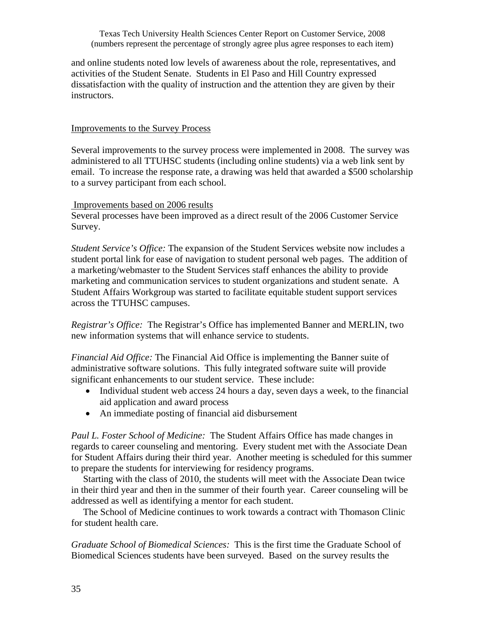and online students noted low levels of awareness about the role, representatives, and activities of the Student Senate. Students in El Paso and Hill Country expressed dissatisfaction with the quality of instruction and the attention they are given by their instructors.

# Improvements to the Survey Process

Several improvements to the survey process were implemented in 2008. The survey was administered to all TTUHSC students (including online students) via a web link sent by email. To increase the response rate, a drawing was held that awarded a \$500 scholarship to a survey participant from each school.

## Improvements based on 2006 results

Several processes have been improved as a direct result of the 2006 Customer Service Survey.

*Student Service's Office:* The expansion of the Student Services website now includes a student portal link for ease of navigation to student personal web pages. The addition of a marketing/webmaster to the Student Services staff enhances the ability to provide marketing and communication services to student organizations and student senate. A Student Affairs Workgroup was started to facilitate equitable student support services across the TTUHSC campuses.

*Registrar's Office:* The Registrar's Office has implemented Banner and MERLIN, two new information systems that will enhance service to students.

*Financial Aid Office:* The Financial Aid Office is implementing the Banner suite of administrative software solutions. This fully integrated software suite will provide significant enhancements to our student service. These include:

- Individual student web access 24 hours a day, seven days a week, to the financial aid application and award process
- An immediate posting of financial aid disbursement

*Paul L. Foster School of Medicine:* The Student Affairs Office has made changes in regards to career counseling and mentoring. Every student met with the Associate Dean for Student Affairs during their third year. Another meeting is scheduled for this summer to prepare the students for interviewing for residency programs.

 Starting with the class of 2010, the students will meet with the Associate Dean twice in their third year and then in the summer of their fourth year. Career counseling will be addressed as well as identifying a mentor for each student.

 The School of Medicine continues to work towards a contract with Thomason Clinic for student health care.

*Graduate School of Biomedical Sciences:* This is the first time the Graduate School of Biomedical Sciences students have been surveyed. Based on the survey results the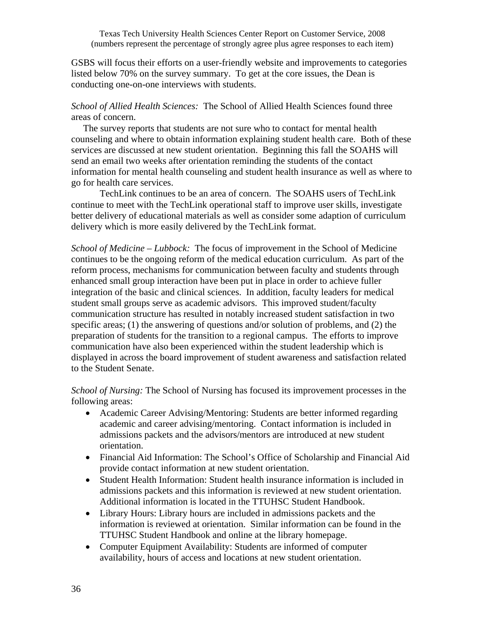GSBS will focus their efforts on a user-friendly website and improvements to categories listed below 70% on the survey summary. To get at the core issues, the Dean is conducting one-on-one interviews with students.

*School of Allied Health Sciences:* The School of Allied Health Sciences found three areas of concern.

 The survey reports that students are not sure who to contact for mental health counseling and where to obtain information explaining student health care. Both of these services are discussed at new student orientation. Beginning this fall the SOAHS will send an email two weeks after orientation reminding the students of the contact information for mental health counseling and student health insurance as well as where to go for health care services.

 TechLink continues to be an area of concern. The SOAHS users of TechLink continue to meet with the TechLink operational staff to improve user skills, investigate better delivery of educational materials as well as consider some adaption of curriculum delivery which is more easily delivered by the TechLink format.

*School of Medicine – Lubbock:* The focus of improvement in the School of Medicine continues to be the ongoing reform of the medical education curriculum. As part of the reform process, mechanisms for communication between faculty and students through enhanced small group interaction have been put in place in order to achieve fuller integration of the basic and clinical sciences. In addition, faculty leaders for medical student small groups serve as academic advisors. This improved student/faculty communication structure has resulted in notably increased student satisfaction in two specific areas; (1) the answering of questions and/or solution of problems, and (2) the preparation of students for the transition to a regional campus. The efforts to improve communication have also been experienced within the student leadership which is displayed in across the board improvement of student awareness and satisfaction related to the Student Senate.

*School of Nursing:* The School of Nursing has focused its improvement processes in the following areas:

- Academic Career Advising/Mentoring: Students are better informed regarding academic and career advising/mentoring. Contact information is included in admissions packets and the advisors/mentors are introduced at new student orientation.
- Financial Aid Information: The School's Office of Scholarship and Financial Aid provide contact information at new student orientation.
- Student Health Information: Student health insurance information is included in admissions packets and this information is reviewed at new student orientation. Additional information is located in the TTUHSC Student Handbook.
- Library Hours: Library hours are included in admissions packets and the information is reviewed at orientation. Similar information can be found in the TTUHSC Student Handbook and online at the library homepage.
- Computer Equipment Availability: Students are informed of computer availability, hours of access and locations at new student orientation.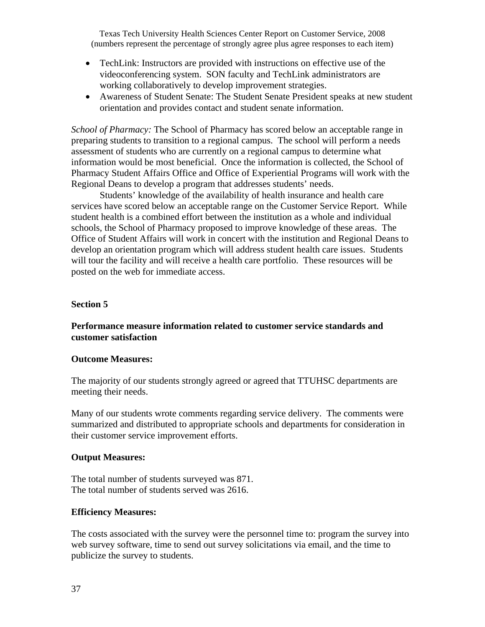- TechLink: Instructors are provided with instructions on effective use of the videoconferencing system. SON faculty and TechLink administrators are working collaboratively to develop improvement strategies.
- Awareness of Student Senate: The Student Senate President speaks at new student orientation and provides contact and student senate information.

*School of Pharmacy:* The School of Pharmacy has scored below an acceptable range in preparing students to transition to a regional campus. The school will perform a needs assessment of students who are currently on a regional campus to determine what information would be most beneficial. Once the information is collected, the School of Pharmacy Student Affairs Office and Office of Experiential Programs will work with the Regional Deans to develop a program that addresses students' needs.

 Students' knowledge of the availability of health insurance and health care services have scored below an acceptable range on the Customer Service Report. While student health is a combined effort between the institution as a whole and individual schools, the School of Pharmacy proposed to improve knowledge of these areas. The Office of Student Affairs will work in concert with the institution and Regional Deans to develop an orientation program which will address student health care issues. Students will tour the facility and will receive a health care portfolio. These resources will be posted on the web for immediate access.

#### **Section 5**

# **Performance measure information related to customer service standards and customer satisfaction**

#### **Outcome Measures:**

The majority of our students strongly agreed or agreed that TTUHSC departments are meeting their needs.

Many of our students wrote comments regarding service delivery. The comments were summarized and distributed to appropriate schools and departments for consideration in their customer service improvement efforts.

#### **Output Measures:**

The total number of students surveyed was 871. The total number of students served was 2616.

#### **Efficiency Measures:**

The costs associated with the survey were the personnel time to: program the survey into web survey software, time to send out survey solicitations via email, and the time to publicize the survey to students.